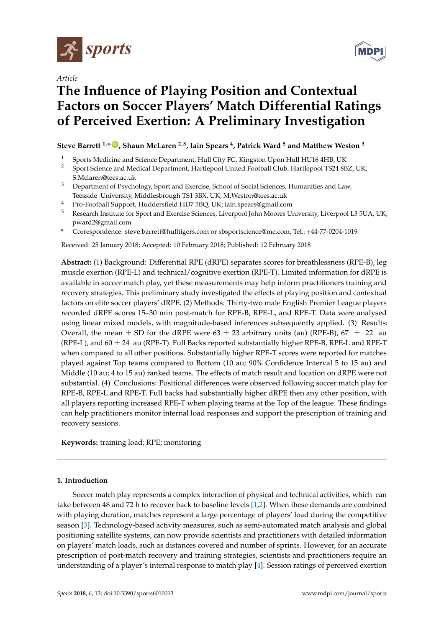

*Article*



# **The Influence of Playing Position and Contextual Factors on Soccer Players' Match Differential Ratings of Perceived Exertion: A Preliminary Investigation**

## **Steve Barrett 1,\* [ID](https://orcid.org/0000-0002-6751-9937) , Shaun McLaren 2,3, Iain Spears <sup>4</sup> , Patrick Ward <sup>5</sup> and Matthew Weston <sup>3</sup>**

- <sup>1</sup> Sports Medicine and Science Department, Hull City FC, Kingston Upon Hull HU16 4HB, UK<br><sup>2</sup> Sport Science and Medical Department, Hartlepool United Football Club, Hartlepool TS24 8B
- <sup>2</sup> Sport Science and Medical Department, Hartlepool United Football Club, Hartlepool TS24 8BZ, UK; S.Mclaren@tees.ac.uk
- <sup>3</sup> Department of Psychology, Sport and Exercise, School of Social Sciences, Humanities and Law, Teesside University, Middlesbrough TS1 3BX, UK; M.Weston@tees.ac.uk
- <sup>4</sup> Pro-Football Support, Huddersfield HD7 5BQ, UK; iain.spears@gmail.com
- <sup>5</sup> Research Institute for Sport and Exercise Sciences, Liverpool John Moores University, Liverpool L3 5UA, UK; pward2@gmail.com
- **\*** Correspondence: steve.barrett@hulltigers.com or sbsportscience@me.com; Tel.: +44-77-0204-1019

Received: 25 January 2018; Accepted: 10 February 2018; Published: 12 February 2018

**Abstract:** (1) Background: Differential RPE (dRPE) separates scores for breathlessness (RPE-B), leg muscle exertion (RPE-L) and technical/cognitive exertion (RPE-T). Limited information for dRPE is available in soccer match play, yet these measurements may help inform practitioners training and recovery strategies. This preliminary study investigated the effects of playing position and contextual factors on elite soccer players' dRPE. (2) Methods: Thirty-two male English Premier League players recorded dRPE scores 15–30 min post-match for RPE-B, RPE-L, and RPE-T. Data were analysed using linear mixed models, with magnitude-based inferences subsequently applied. (3) Results: Overall, the mean  $\pm$  SD for the dRPE were 63  $\pm$  23 arbitrary units (au) (RPE-B), 67  $\pm$  22 au (RPE-L), and  $60 \pm 24$  au (RPE-T). Full Backs reported substantially higher RPE-B, RPE-L and RPE-T when compared to all other positions. Substantially higher RPE-T scores were reported for matches played against Top teams compared to Bottom (10 au; 90% Confidence Interval 5 to 15 au) and Middle (10 au; 4 to 15 au) ranked teams. The effects of match result and location on dRPE were not substantial. (4) Conclusions: Positional differences were observed following soccer match play for RPE-B, RPE-L and RPE-T. Full backs had substantially higher dRPE then any other position, with all players reporting increased RPE-T when playing teams at the Top of the league. These findings can help practitioners monitor internal load responses and support the prescription of training and recovery sessions.

**Keywords:** training load; RPE; monitoring

### **1. Introduction**

Soccer match play represents a complex interaction of physical and technical activities, which can take between 48 and 72 h to recover back to baseline levels [\[1,](#page-5-0)[2\]](#page-5-1). When these demands are combined with playing duration, matches represent a large percentage of players' load during the competitive season [\[3\]](#page-5-2). Technology-based activity measures, such as semi-automated match analysis and global positioning satellite systems, can now provide scientists and practitioners with detailed information on players' match loads, such as distances covered and number of sprints. However, for an accurate prescription of post-match recovery and training strategies, scientists and practitioners require an understanding of a player's internal response to match play [\[4\]](#page-5-3). Session ratings of perceived exertion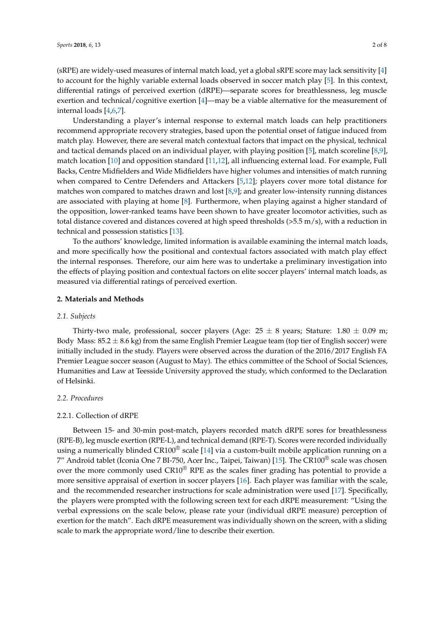(sRPE) are widely-used measures of internal match load, yet a global sRPE score may lack sensitivity [\[4\]](#page-5-3) to account for the highly variable external loads observed in soccer match play [\[5\]](#page-6-0). In this context, differential ratings of perceived exertion (dRPE)—separate scores for breathlessness, leg muscle exertion and technical/cognitive exertion [\[4\]](#page-5-3)—may be a viable alternative for the measurement of internal loads [\[4](#page-5-3)[,6,](#page-6-1)[7\]](#page-6-2).

Understanding a player's internal response to external match loads can help practitioners recommend appropriate recovery strategies, based upon the potential onset of fatigue induced from match play. However, there are several match contextual factors that impact on the physical, technical and tactical demands placed on an individual player, with playing position [\[5\]](#page-6-0), match scoreline [\[8,](#page-6-3)[9\]](#page-6-4), match location [\[10\]](#page-6-5) and opposition standard [\[11](#page-6-6)[,12\]](#page-6-7), all influencing external load. For example, Full Backs, Centre Midfielders and Wide Midfielders have higher volumes and intensities of match running when compared to Centre Defenders and Attackers [\[5](#page-6-0)[,12\]](#page-6-7); players cover more total distance for matches won compared to matches drawn and lost [\[8](#page-6-3)[,9\]](#page-6-4); and greater low-intensity running distances are associated with playing at home [\[8\]](#page-6-3). Furthermore, when playing against a higher standard of the opposition, lower-ranked teams have been shown to have greater locomotor activities, such as total distance covered and distances covered at high speed thresholds (>5.5 m/s), with a reduction in technical and possession statistics [\[13\]](#page-6-8).

To the authors' knowledge, limited information is available examining the internal match loads, and more specifically how the positional and contextual factors associated with match play effect the internal responses. Therefore, our aim here was to undertake a preliminary investigation into the effects of playing position and contextual factors on elite soccer players' internal match loads, as measured via differential ratings of perceived exertion.

#### **2. Materials and Methods**

#### *2.1. Subjects*

Thirty-two male, professional, soccer players (Age:  $25 \pm 8$  years; Stature: 1.80  $\pm$  0.09 m; Body Mass:  $85.2 \pm 8.6$  kg) from the same English Premier League team (top tier of English soccer) were initially included in the study. Players were observed across the duration of the 2016/2017 English FA Premier League soccer season (August to May). The ethics committee of the School of Social Sciences, Humanities and Law at Teesside University approved the study, which conformed to the Declaration of Helsinki.

#### *2.2. Procedures*

#### 2.2.1. Collection of dRPE

Between 15- and 30-min post-match, players recorded match dRPE sores for breathlessness (RPE-B), leg muscle exertion (RPE-L), and technical demand (RPE-T). Scores were recorded individually using a numerically blinded CR100<sup>®</sup> scale [\[14\]](#page-6-9) via a custom-built mobile application running on a 7" Android tablet (Iconia One 7 BI-750, Acer Inc., Taipei, Taiwan) [\[15\]](#page-6-10). The CR100 $^{\circ}$  scale was chosen over the more commonly used  $C\mathbb{R}10^{\circledcirc}$  RPE as the scales finer grading has potential to provide a more sensitive appraisal of exertion in soccer players [\[16\]](#page-6-11). Each player was familiar with the scale, and the recommended researcher instructions for scale administration were used [\[17\]](#page-6-12). Specifically, the players were prompted with the following screen text for each dRPE measurement: "Using the verbal expressions on the scale below, please rate your (individual dRPE measure) perception of exertion for the match". Each dRPE measurement was individually shown on the screen, with a sliding scale to mark the appropriate word/line to describe their exertion.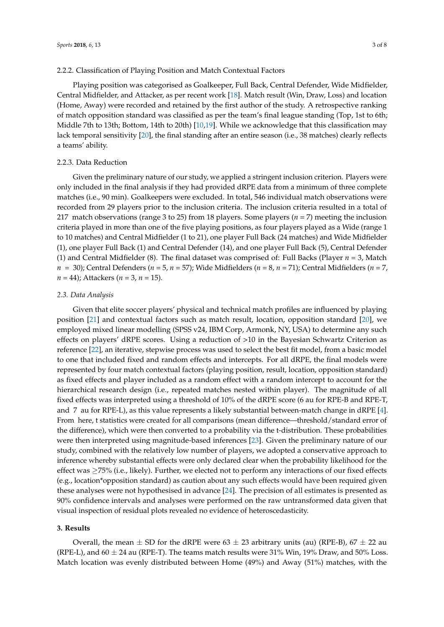#### 2.2.2. Classification of Playing Position and Match Contextual Factors

Playing position was categorised as Goalkeeper, Full Back, Central Defender, Wide Midfielder, Central Midfielder, and Attacker, as per recent work [\[18\]](#page-6-13). Match result (Win, Draw, Loss) and location (Home, Away) were recorded and retained by the first author of the study. A retrospective ranking of match opposition standard was classified as per the team's final league standing (Top, 1st to 6th; Middle 7th to 13th; Bottom, 14th to 20th) [\[10](#page-6-5)[,19\]](#page-6-14). While we acknowledge that this classification may lack temporal sensitivity [\[20\]](#page-6-15), the final standing after an entire season (i.e., 38 matches) clearly reflects a teams' ability.

#### 2.2.3. Data Reduction

Given the preliminary nature of our study, we applied a stringent inclusion criterion. Players were only included in the final analysis if they had provided dRPE data from a minimum of three complete matches (i.e., 90 min). Goalkeepers were excluded. In total, 546 individual match observations were recorded from 29 players prior to the inclusion criteria. The inclusion criteria resulted in a total of 217 match observations (range 3 to 25) from 18 players. Some players (*n* = 7) meeting the inclusion criteria played in more than one of the five playing positions, as four players played as a Wide (range 1 to 10 matches) and Central Midfielder (1 to 21), one player Full Back (24 matches) and Wide Midfielder (1), one player Full Back (1) and Central Defender (14), and one player Full Back (5), Central Defender (1) and Central Midfielder (8). The final dataset was comprised of: Full Backs (Player *n* = 3, Match *n* = 30); Central Defenders (*n* = 5, *n* = 57); Wide Midfielders (*n* = 8, *n* = 71); Central Midfielders (*n* = 7, *n* = 44); Attackers (*n* = 3, *n* = 15).

#### *2.3. Data Analysis*

Given that elite soccer players' physical and technical match profiles are influenced by playing position [\[21\]](#page-6-16) and contextual factors such as match result, location, opposition standard [\[20\]](#page-6-15), we employed mixed linear modelling (SPSS v24, IBM Corp, Armonk, NY, USA) to determine any such effects on players' dRPE scores. Using a reduction of >10 in the Bayesian Schwartz Criterion as reference [\[22\]](#page-6-17), an iterative, stepwise process was used to select the best fit model, from a basic model to one that included fixed and random effects and intercepts. For all dRPE, the final models were represented by four match contextual factors (playing position, result, location, opposition standard) as fixed effects and player included as a random effect with a random intercept to account for the hierarchical research design (i.e., repeated matches nested within player). The magnitude of all fixed effects was interpreted using a threshold of 10% of the dRPE score (6 au for RPE-B and RPE-T, and 7 au for RPE-L), as this value represents a likely substantial between-match change in dRPE [\[4\]](#page-5-3). From here, t statistics were created for all comparisons (mean difference—threshold/standard error of the difference), which were then converted to a probability via the t-distribution. These probabilities were then interpreted using magnitude-based inferences [\[23\]](#page-6-18). Given the preliminary nature of our study, combined with the relatively low number of players, we adopted a conservative approach to inference whereby substantial effects were only declared clear when the probability likelihood for the effect was ≥75% (i.e., likely). Further, we elected not to perform any interactions of our fixed effects (e.g., location\*opposition standard) as caution about any such effects would have been required given these analyses were not hypothesised in advance [\[24\]](#page-6-19). The precision of all estimates is presented as 90% confidence intervals and analyses were performed on the raw untransformed data given that visual inspection of residual plots revealed no evidence of heteroscedasticity.

#### **3. Results**

Overall, the mean  $\pm$  SD for the dRPE were 63  $\pm$  23 arbitrary units (au) (RPE-B), 67  $\pm$  22 au (RPE-L), and  $60 \pm 24$  au (RPE-T). The teams match results were 31% Win, 19% Draw, and 50% Loss. Match location was evenly distributed between Home (49%) and Away (51%) matches, with the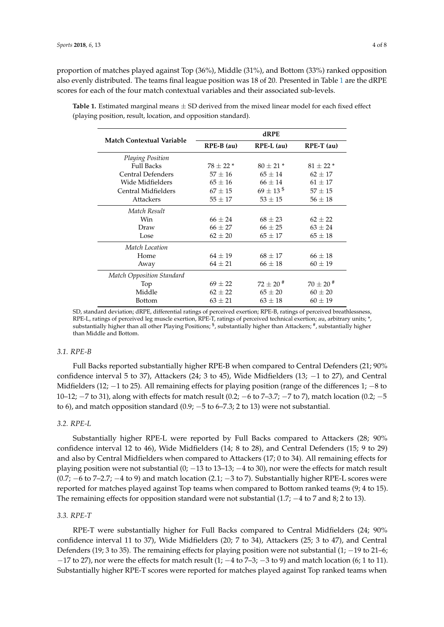proportion of matches played against Top (36%), Middle (31%), and Bottom (33%) ranked opposition also evenly distributed. The teams final league position was 18 of 20. Presented in Table [1](#page-3-0) are the dRPE scores for each of the four match contextual variables and their associated sub-levels.

| <b>Match Contextual Variable</b> | dRPE         |                           |               |
|----------------------------------|--------------|---------------------------|---------------|
|                                  | $RPE-B$ (au) | $RPE-L$ (au)              | $RPE-T$ (au)  |
| Playing Position                 |              |                           |               |
| <b>Full Backs</b>                | $78 + 22*$   | $80 + 21*$                | $81 + 22*$    |
| Central Defenders                | $57 \pm 16$  | $65 \pm 14$               | $62 \pm 17$   |
| Wide Midfielders                 | $65 \pm 16$  | $66 \pm 14$               | $61 \pm 17$   |
| Central Midfielders              | $67 \pm 15$  | $69 \pm 13^{\frac{6}{9}}$ | $57 \pm 15$   |
| <b>Attackers</b>                 | $55 \pm 17$  | $53 \pm 15$               | $56 \pm 18$   |
| Match Result                     |              |                           |               |
| Win                              | $66 + 24$    | $68 + 23$                 | $62 + 22$     |
| Draw                             | $66 \pm 27$  | $66 \pm 25$               | $63 \pm 24$   |
| Lose                             | $62 \pm 20$  | $65 \pm 17$               | $65 \pm 18$   |
| Match Location                   |              |                           |               |
| Home                             | $64 \pm 19$  | $68 \pm 17$               | $66 \pm 18$   |
| Away                             | $64 \pm 21$  | $66 \pm 18$               | $60 \pm 19$   |
| <b>Match Opposition Standard</b> |              |                           |               |
| Top                              | $69 \pm 22$  | $72 + 20$ <sup>#</sup>    | $70 \pm 20$ # |
| Middle                           | $62 + 22$    | $65 \pm 20$               | $60 \pm 20$   |
| <b>Bottom</b>                    | $63 \pm 21$  | $63 \pm 18$               | $60 \pm 19$   |

<span id="page-3-0"></span>**Table 1.** Estimated marginal means ± SD derived from the mixed linear model for each fixed effect (playing position, result, location, and opposition standard).

SD, standard deviation; dRPE, differential ratings of perceived exertion; RPE-B, ratings of perceived breathlessness, RPE-L, ratings of perceived leg muscle exertion, RPE-T, ratings of perceived technical exertion; au, arbitrary units; \*, substantially higher than all other Playing Positions;  $\$$ , substantially higher than Attackers;  $\#$ , substantially higher than Middle and Bottom.

#### *3.1. RPE-B*

Full Backs reported substantially higher RPE-B when compared to Central Defenders (21; 90% confidence interval 5 to 37), Attackers (24; 3 to 45), Wide Midfielders (13; −1 to 27), and Central Midfielders (12; −1 to 25). All remaining effects for playing position (range of the differences 1; −8 to 10–12; −7 to 31), along with effects for match result (0.2; −6 to 7–3.7; −7 to 7), match location (0.2; −5 to 6), and match opposition standard  $(0.9; -5$  to 6–7.3; 2 to 13) were not substantial.

#### *3.2. RPE-L*

Substantially higher RPE-L were reported by Full Backs compared to Attackers (28; 90% confidence interval 12 to 46), Wide Midfielders (14; 8 to 28), and Central Defenders (15; 9 to 29) and also by Central Midfielders when compared to Attackers (17; 0 to 34). All remaining effects for playing position were not substantial  $(0; -13 \text{ to } 13-13; -4 \text{ to } 30)$ , nor were the effects for match result  $(0.7; -6$  to 7–2.7;  $-4$  to 9) and match location  $(2.1; -3$  to 7). Substantially higher RPE-L scores were reported for matches played against Top teams when compared to Bottom ranked teams (9; 4 to 15). The remaining effects for opposition standard were not substantial  $(1.7; -4$  to 7 and 8; 2 to 13).

#### *3.3. RPE-T*

RPE-T were substantially higher for Full Backs compared to Central Midfielders (24; 90% confidence interval 11 to 37), Wide Midfielders (20; 7 to 34), Attackers (25; 3 to 47), and Central Defenders (19; 3 to 35). The remaining effects for playing position were not substantial (1; −19 to 21–6;  $-17$  to 27), nor were the effects for match result  $(1; -4$  to  $7-3; -3$  to 9) and match location (6; 1 to 11). Substantially higher RPE-T scores were reported for matches played against Top ranked teams when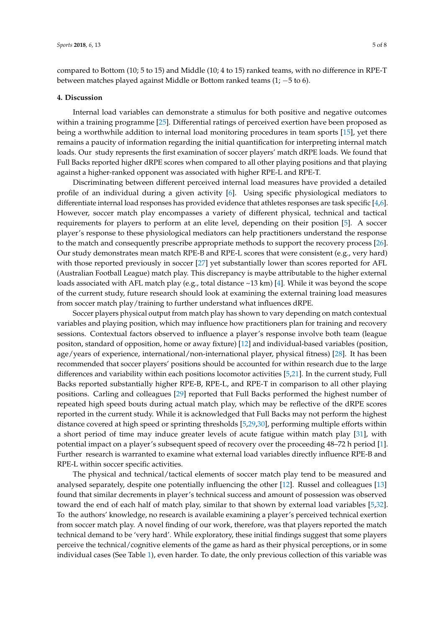compared to Bottom (10; 5 to 15) and Middle (10; 4 to 15) ranked teams, with no difference in RPE-T between matches played against Middle or Bottom ranked teams (1; −5 to 6).

#### **4. Discussion**

Internal load variables can demonstrate a stimulus for both positive and negative outcomes within a training programme [\[25\]](#page-6-20). Differential ratings of perceived exertion have been proposed as being a worthwhile addition to internal load monitoring procedures in team sports [\[15\]](#page-6-10), yet there remains a paucity of information regarding the initial quantification for interpreting internal match loads. Our study represents the first examination of soccer players' match dRPE loads. We found that Full Backs reported higher dRPE scores when compared to all other playing positions and that playing against a higher-ranked opponent was associated with higher RPE-L and RPE-T.

Discriminating between different perceived internal load measures have provided a detailed profile of an individual during a given activity [\[6\]](#page-6-1). Using specific physiological mediators to differentiate internal load responses has provided evidence that athletes responses are task specific [\[4](#page-5-3)[,6\]](#page-6-1). However, soccer match play encompasses a variety of different physical, technical and tactical requirements for players to perform at an elite level, depending on their position [\[5\]](#page-6-0). A soccer player's response to these physiological mediators can help practitioners understand the response to the match and consequently prescribe appropriate methods to support the recovery process [\[26\]](#page-6-21). Our study demonstrates mean match RPE-B and RPE-L scores that were consistent (e.g., very hard) with those reported previously in soccer [\[27\]](#page-6-22) yet substantially lower than scores reported for AFL (Australian Football League) match play. This discrepancy is maybe attributable to the higher external loads associated with AFL match play (e.g., total distance  $\sim$ 13 km) [\[4\]](#page-5-3). While it was beyond the scope of the current study, future research should look at examining the external training load measures from soccer match play/training to further understand what influences dRPE.

Soccer players physical output from match play has shown to vary depending on match contextual variables and playing position, which may influence how practitioners plan for training and recovery sessions. Contextual factors observed to influence a player's response involve both team (league positon, standard of opposition, home or away fixture) [\[12\]](#page-6-7) and individual-based variables (position, age/years of experience, international/non-international player, physical fitness) [\[28\]](#page-7-0). It has been recommended that soccer players' positions should be accounted for within research due to the large differences and variability within each positions locomotor activities [\[5,](#page-6-0)[21\]](#page-6-16). In the current study, Full Backs reported substantially higher RPE-B, RPE-L, and RPE-T in comparison to all other playing positions. Carling and colleagues [\[29\]](#page-7-1) reported that Full Backs performed the highest number of repeated high speed bouts during actual match play, which may be reflective of the dRPE scores reported in the current study. While it is acknowledged that Full Backs may not perform the highest distance covered at high speed or sprinting thresholds [\[5](#page-6-0)[,29](#page-7-1)[,30\]](#page-7-2), performing multiple efforts within a short period of time may induce greater levels of acute fatigue within match play [\[31\]](#page-7-3), with potential impact on a player's subsequent speed of recovery over the proceeding 48–72 h period [\[1\]](#page-5-0). Further research is warranted to examine what external load variables directly influence RPE-B and RPE-L within soccer specific activities.

The physical and technical/tactical elements of soccer match play tend to be measured and analysed separately, despite one potentially influencing the other [\[12\]](#page-6-7). Russel and colleagues [\[13\]](#page-6-8) found that similar decrements in player's technical success and amount of possession was observed toward the end of each half of match play, similar to that shown by external load variables [\[5,](#page-6-0)[32\]](#page-7-4). To the authors' knowledge, no research is available examining a player's perceived technical exertion from soccer match play. A novel finding of our work, therefore, was that players reported the match technical demand to be 'very hard'. While exploratory, these initial findings suggest that some players perceive the technical/cognitive elements of the game as hard as their physical perceptions, or in some individual cases (See Table [1\)](#page-3-0), even harder. To date, the only previous collection of this variable was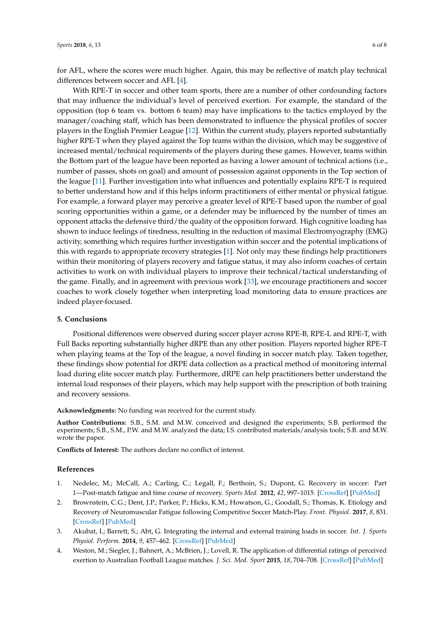for AFL, where the scores were much higher. Again, this may be reflective of match play technical differences between soccer and AFL [\[4\]](#page-5-3).

With RPE-T in soccer and other team sports, there are a number of other confounding factors that may influence the individual's level of perceived exertion. For example, the standard of the opposition (top 6 team vs. bottom 6 team) may have implications to the tactics employed by the manager/coaching staff, which has been demonstrated to influence the physical profiles of soccer players in the English Premier League [\[12\]](#page-6-7). Within the current study, players reported substantially higher RPE-T when they played against the Top teams within the division, which may be suggestive of increased mental/technical requirements of the players during these games. However, teams within the Bottom part of the league have been reported as having a lower amount of technical actions (i.e., number of passes, shots on goal) and amount of possession against opponents in the Top section of the league [\[11\]](#page-6-6). Further investigation into what influences and potentially explains RPE-T is required to better understand how and if this helps inform practitioners of either mental or physical fatigue. For example, a forward player may perceive a greater level of RPE-T based upon the number of goal scoring opportunities within a game, or a defender may be influenced by the number of times an opponent attacks the defensive third/the quality of the opposition forward. High cognitive loading has shown to induce feelings of tiredness, resulting in the reduction of maximal Electromyography (EMG) activity, something which requires further investigation within soccer and the potential implications of this with regards to appropriate recovery strategies [\[1\]](#page-5-0). Not only may these findings help practitioners within their monitoring of players recovery and fatigue status, it may also inform coaches of certain activities to work on with individual players to improve their technical/tactical understanding of the game. Finally, and in agreement with previous work [\[33\]](#page-7-5), we encourage practitioners and soccer coaches to work closely together when interpreting load monitoring data to ensure practices are indeed player-focused.

#### **5. Conclusions**

Positional differences were observed during soccer player across RPE-B, RPE-L and RPE-T, with Full Backs reporting substantially higher dRPE than any other position. Players reported higher RPE-T when playing teams at the Top of the league, a novel finding in soccer match play. Taken together, these findings show potential for dRPE data collection as a practical method of monitoring internal load during elite soccer match play. Furthermore, dRPE can help practitioners better understand the internal load responses of their players, which may help support with the prescription of both training and recovery sessions.

**Acknowledgments:** No funding was received for the current study.

**Author Contributions:** S.B., S.M. and M.W. conceived and designed the experiments; S.B. performed the experiments; S.B., S.M., P.W. and M.W. analyzed the data; I.S. contributed materials/analysis tools; S.B. and M.W. wrote the paper.

**Conflicts of Interest:** The authors declare no conflict of interest.

#### **References**

- <span id="page-5-0"></span>1. Nedelec, M.; McCall, A.; Carling, C.; Legall, F.; Berthoin, S.; Dupont, G. Recovery in soccer: Part 1—Post-match fatigue and time course of recovery. *Sports Med.* **2012**, *42*, 997–1015. [\[CrossRef\]](http://dx.doi.org/10.2165/11635270-000000000-00000) [\[PubMed\]](http://www.ncbi.nlm.nih.gov/pubmed/23046224)
- <span id="page-5-1"></span>2. Brownstein, C.G.; Dent, J.P.; Parker, P.; Hicks, K.M.; Howatson, G.; Goodall, S.; Thomas, K. Etiology and Recovery of Neuromuscular Fatigue following Competitive Soccer Match-Play. *Front. Physiol.* **2017**, *8*, 831. [\[CrossRef\]](http://dx.doi.org/10.3389/fphys.2017.00831) [\[PubMed\]](http://www.ncbi.nlm.nih.gov/pubmed/29118716)
- <span id="page-5-2"></span>3. Akubat, I.; Barrett, S.; Abt, G. Integrating the internal and external training loads in soccer. *Int. J. Sports Physiol. Perform.* **2014**, *9*, 457–462. [\[CrossRef\]](http://dx.doi.org/10.1123/ijspp.2012-0347) [\[PubMed\]](http://www.ncbi.nlm.nih.gov/pubmed/23475154)
- <span id="page-5-3"></span>4. Weston, M.; Siegler, J.; Bahnert, A.; McBrien, J.; Lovell, R. The application of differential ratings of perceived exertion to Australian Football League matches. *J. Sci. Med. Sport* **2015**, *18*, 704–708. [\[CrossRef\]](http://dx.doi.org/10.1016/j.jsams.2014.09.001) [\[PubMed\]](http://www.ncbi.nlm.nih.gov/pubmed/25241705)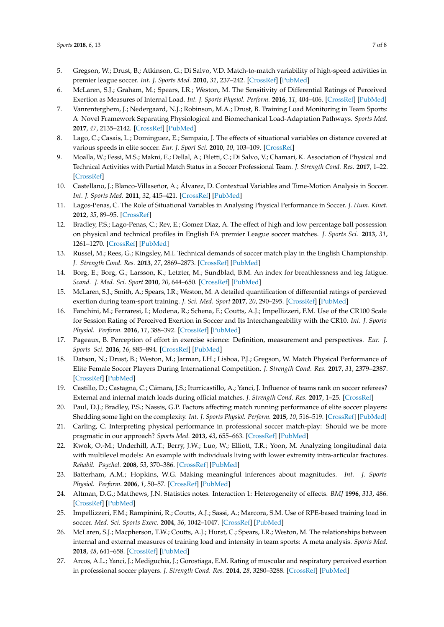- <span id="page-6-0"></span>5. Gregson, W.; Drust, B.; Atkinson, G.; Di Salvo, V.D. Match-to-match variability of high-speed activities in premier league soccer. *Int. J. Sports Med.* **2010**, *31*, 237–242. [\[CrossRef\]](http://dx.doi.org/10.1055/s-0030-1247546) [\[PubMed\]](http://www.ncbi.nlm.nih.gov/pubmed/20157871)
- <span id="page-6-1"></span>6. McLaren, S.J.; Graham, M.; Spears, I.R.; Weston, M. The Sensitivity of Differential Ratings of Perceived Exertion as Measures of Internal Load. *Int. J. Sports Physiol. Perform.* **2016**, *11*, 404–406. [\[CrossRef\]](http://dx.doi.org/10.1123/ijspp.2015-0223) [\[PubMed\]](http://www.ncbi.nlm.nih.gov/pubmed/26218099)
- <span id="page-6-2"></span>7. Vanrenterghem, J.; Nedergaard, N.J.; Robinson, M.A.; Drust, B. Training Load Monitoring in Team Sports: A Novel Framework Separating Physiological and Biomechanical Load-Adaptation Pathways. *Sports Med.* **2017**, *47*, 2135–2142. [\[CrossRef\]](http://dx.doi.org/10.1007/s40279-017-0714-2) [\[PubMed\]](http://www.ncbi.nlm.nih.gov/pubmed/28283992)
- <span id="page-6-3"></span>8. Lago, C.; Casais, L.; Dominguez, E.; Sampaio, J. The effects of situational variables on distance covered at various speeds in elite soccer. *Eur. J. Sport Sci.* **2010**, *10*, 103–109. [\[CrossRef\]](http://dx.doi.org/10.1080/17461390903273994)
- <span id="page-6-4"></span>9. Moalla, W.; Fessi, M.S.; Makni, E.; Dellal, A.; Filetti, C.; Di Salvo, V.; Chamari, K. Association of Physical and Technical Activities with Partial Match Status in a Soccer Professional Team. *J. Strength Cond. Res.* **2017**, 1–22. [\[CrossRef\]](http://dx.doi.org/10.1519/JSC.0000000000002033)
- <span id="page-6-5"></span>10. Castellano, J.; Blanco-Villaseñor, A.; Álvarez, D. Contextual Variables and Time-Motion Analysis in Soccer. *Int. J. Sports Med.* **2011**, *32*, 415–421. [\[CrossRef\]](http://dx.doi.org/10.1055/s-0031-1271771) [\[PubMed\]](http://www.ncbi.nlm.nih.gov/pubmed/21590641)
- <span id="page-6-6"></span>11. Lagos-Penas, C. The Role of Situational Variables in Analysing Physical Performance in Soccer. *J. Hum. Kinet.* **2012**, *35*, 89–95. [\[CrossRef\]](http://dx.doi.org/10.2478/v10078-012-0082-9)
- <span id="page-6-7"></span>12. Bradley, P.S.; Lago-Penas, C.; Rev, E.; Gomez Diaz, A. The effect of high and low percentage ball possession on physical and technical profiles in English FA premier League soccer matches. *J. Sports Sci.* **2013**, *31*, 1261–1270. [\[CrossRef\]](http://dx.doi.org/10.1080/02640414.2013.786185) [\[PubMed\]](http://www.ncbi.nlm.nih.gov/pubmed/23697463)
- <span id="page-6-8"></span>13. Russel, M.; Rees, G.; Kingsley, M.I. Technical demands of soccer match play in the English Championship. *J. Strength Cond. Res.* **2013**, *27*, 2869–2873. [\[CrossRef\]](http://dx.doi.org/10.1519/JSC.0b013e318280cc13) [\[PubMed\]](http://www.ncbi.nlm.nih.gov/pubmed/23287830)
- <span id="page-6-9"></span>14. Borg, E.; Borg, G.; Larsson, K.; Letzter, M.; Sundblad, B.M. An index for breathlessness and leg fatigue. *Scand. J. Med. Sci. Sport* **2010**, *20*, 644–650. [\[CrossRef\]](http://dx.doi.org/10.1111/j.1600-0838.2009.00985.x) [\[PubMed\]](http://www.ncbi.nlm.nih.gov/pubmed/19602182)
- <span id="page-6-10"></span>15. McLaren, S.J.; Smith, A.; Spears, I.R.; Weston, M. A detailed quantification of differential ratings of percieved exertion during team-sport training. *J. Sci. Med. Sport* **2017**, *20*, 290–295. [\[CrossRef\]](http://dx.doi.org/10.1016/j.jsams.2016.06.011) [\[PubMed\]](http://www.ncbi.nlm.nih.gov/pubmed/27451269)
- <span id="page-6-11"></span>16. Fanchini, M.; Ferraresi, I.; Modena, R.; Schena, F.; Coutts, A.J.; Impellizzeri, F.M. Use of the CR100 Scale for Session Rating of Perceived Exertion in Soccer and Its Interchangeability with the CR10. *Int. J. Sports Physiol. Perform.* **2016**, *11*, 388–392. [\[CrossRef\]](http://dx.doi.org/10.1123/ijspp.2015-0273) [\[PubMed\]](http://www.ncbi.nlm.nih.gov/pubmed/26309332)
- <span id="page-6-12"></span>17. Pageaux, B. Perception of effort in exercise science: Definition, measurement and perspectives. *Eur. J. Sports Sci.* **2016**, *16*, 885–894. [\[CrossRef\]](http://dx.doi.org/10.1080/17461391.2016.1188992) [\[PubMed\]](http://www.ncbi.nlm.nih.gov/pubmed/27240002)
- <span id="page-6-13"></span>18. Datson, N.; Drust, B.; Weston, M.; Jarman, I.H.; Lisboa, P.J.; Gregson, W. Match Physical Performance of Elite Female Soccer Players During International Competition. *J. Strength Cond. Res.* **2017**, *31*, 2379–2387. [\[CrossRef\]](http://dx.doi.org/10.1519/JSC.0000000000001575) [\[PubMed\]](http://www.ncbi.nlm.nih.gov/pubmed/27467514)
- <span id="page-6-14"></span>19. Castillo, D.; Castagna, C.; Cámara, J.S.; Iturricastillo, A.; Yanci, J. Influence of teams rank on soccer referees? External and internal match loads during official matches. *J. Strength Cond. Res.* **2017**, 1–25. [\[CrossRef\]](http://dx.doi.org/10.1519/JSC.0000000000002040)
- <span id="page-6-15"></span>20. Paul, D.J.; Bradley, P.S.; Nassis, G.P. Factors affecting match running performance of elite soccer players: Shedding some light on the complexity. *Int. J. Sports Physiol. Perform.* **2015**, *10*, 516–519. [\[CrossRef\]](http://dx.doi.org/10.1123/ijspp.2015-0029) [\[PubMed\]](http://www.ncbi.nlm.nih.gov/pubmed/25928752)
- <span id="page-6-16"></span>21. Carling, C. Interpreting physical performance in professional soccer match-play: Should we be more pragmatic in our approach? *Sports Med.* **2013**, *43*, 655–663. [\[CrossRef\]](http://dx.doi.org/10.1007/s40279-013-0055-8) [\[PubMed\]](http://www.ncbi.nlm.nih.gov/pubmed/23661303)
- <span id="page-6-17"></span>22. Kwok, O.-M.; Underhill, A.T.; Berry, J.W.; Luo, W.; Elliott, T.R.; Yoon, M. Analyzing longitudinal data with multilevel models: An example with individuals living with lower extremity intra-articular fractures. *Rehabil. Psychol.* **2008**, *53*, 370–386. [\[CrossRef\]](http://dx.doi.org/10.1037/a0012765) [\[PubMed\]](http://www.ncbi.nlm.nih.gov/pubmed/19649151)
- <span id="page-6-18"></span>23. Batterham, A.M.; Hopkins, W.G. Making meaningful inferences about magnitudes. *Int. J. Sports Physiol. Perform.* **2006**, *1*, 50–57. [\[CrossRef\]](http://dx.doi.org/10.1123/ijspp.1.1.50) [\[PubMed\]](http://www.ncbi.nlm.nih.gov/pubmed/19114737)
- <span id="page-6-19"></span>24. Altman, D.G.; Matthews, J.N. Statistics notes. Interaction 1: Heterogeneity of effects. *BMJ* **1996**, *313*, 486. [\[CrossRef\]](http://dx.doi.org/10.1136/bmj.313.7055.486) [\[PubMed\]](http://www.ncbi.nlm.nih.gov/pubmed/8776324)
- <span id="page-6-20"></span>25. Impellizzeri, F.M.; Rampinini, R.; Coutts, A.J.; Sassi, A.; Marcora, S.M. Use of RPE-based training load in soccer. *Med. Sci. Sports Exerc.* **2004**, *36*, 1042–1047. [\[CrossRef\]](http://dx.doi.org/10.1249/01.MSS.0000128199.23901.2F) [\[PubMed\]](http://www.ncbi.nlm.nih.gov/pubmed/15179175)
- <span id="page-6-21"></span>26. McLaren, S.J.; Macpherson, T.W.; Coutts, A.J.; Hurst, C.; Spears, I.R.; Weston, M. The relationships between internal and external measures of training load and intensity in team sports: A meta analysis. *Sports Med.* **2018**, *48*, 641–658. [\[CrossRef\]](http://dx.doi.org/10.1007/s40279-017-0830-z) [\[PubMed\]](http://www.ncbi.nlm.nih.gov/pubmed/29288436)
- <span id="page-6-22"></span>27. Arcos, A.L.; Yanci, J.; Mediguchia, J.; Gorostiaga, E.M. Rating of muscular and respiratory perceived exertion in professional soccer players. *J. Strength Cond. Res.* **2014**, *28*, 3280–3288. [\[CrossRef\]](http://dx.doi.org/10.1519/JSC.0000000000000540) [\[PubMed\]](http://www.ncbi.nlm.nih.gov/pubmed/24845209)